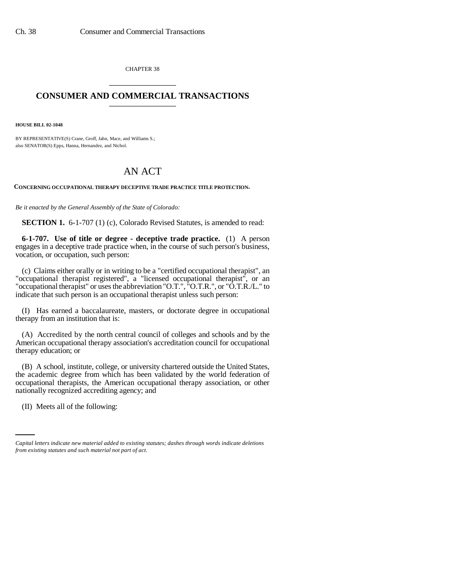CHAPTER 38 \_\_\_\_\_\_\_\_\_\_\_\_\_\_\_

## **CONSUMER AND COMMERCIAL TRANSACTIONS** \_\_\_\_\_\_\_\_\_\_\_\_\_\_\_

**HOUSE BILL 02-1048**

BY REPRESENTATIVE(S) Crane, Groff, Jahn, Mace, and Williams S.; also SENATOR(S) Epps, Hanna, Hernandez, and Nichol.

## AN ACT

**CONCERNING OCCUPATIONAL THERAPY DECEPTIVE TRADE PRACTICE TITLE PROTECTION.**

*Be it enacted by the General Assembly of the State of Colorado:*

**SECTION 1.** 6-1-707 (1) (c), Colorado Revised Statutes, is amended to read:

**6-1-707. Use of title or degree - deceptive trade practice.** (1) A person engages in a deceptive trade practice when, in the course of such person's business, vocation, or occupation, such person:

(c) Claims either orally or in writing to be a "certified occupational therapist", an "occupational therapist registered", a "licensed occupational therapist", or an "occupational therapist" or uses the abbreviation "O.T.", "O.T.R.", or "O.T.R./L." to indicate that such person is an occupational therapist unless such person:

(I) Has earned a baccalaureate, masters, or doctorate degree in occupational therapy from an institution that is:

(A) Accredited by the north central council of colleges and schools and by the American occupational therapy association's accreditation council for occupational therapy education; or

nationally recognized accrediting agency; and (B) A school, institute, college, or university chartered outside the United States, the academic degree from which has been validated by the world federation of occupational therapists, the American occupational therapy association, or other

(II) Meets all of the following:

*Capital letters indicate new material added to existing statutes; dashes through words indicate deletions from existing statutes and such material not part of act.*